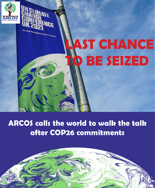

ARTNERSHIP WITH ITALY

**AST CHANCE TO BE SEIZED**

**ARCOS calls the world to walk the talk after COP26 commitments**

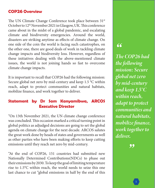### **COP26 Overview**

The UN Climate Change Conference took place between 31st October to 12<sup>th</sup> November 2021 in Glasgow, UK. This conference came about in the midst of a global pandemic, and escalating climate and biodiversity emergencies. Around the world, disasters are striking anytime as effects of climate change. On one side of the coin the world is facing such catastrophes, on the other one, there are good deals of work in tackling climate change impacts and biodiversity loss. However, regardless of these initiatives dealing with the above-mentioned climate issues, the world is not joining hands so fast to overcome climate change impacts.

It is important to recall that COP26 had the following mission: Secure global net zero by mid-century and keep 1.5 °C within reach, adapt to protect communities and natural habitats, mobilize finance, and work together to deliver.

### **Statement by Dr Sam Kanyamibwa, ARCOS Executive Director**

"On 13th November 2021, the UN climate change conference was concluded. This occasion marked a critical turning point in global politics as adjudged decisions are going to set the global agenda on climate change for the next decade. ARCOS salutes the great work done by heads of states and governments as well as other parties who have been making efforts to keep cutting emissions until they reach net zero by mid-century.

"At the end of COP26, 151 countries had submitted new Nationally Determined Contributions(NDCs) to phase out their emissions by 2030. To keep the goal of limiting temperature rise to 1.5°C within reach, the world needs to seize this one last chance to cut "global emissions in half by the end of this

## *"*

*The COP26 had the following mission: Secure global net zero by mid-century and keep 1.5°C within reach, adapt to protect communities and natural habitats, mobilize finance, work together to deliver.*

 *"*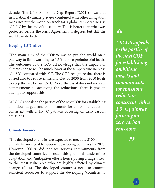decade. The UN's Emissions Gap Report "2021 shows that new national climate pledges combined with other mitigation measures put the world on track for a global temperature rise of 2.7°C by the end of the century. This is better than what was projected before the Paris Agreement, 4 degrees but still the world can do better.

#### Keeping 1.5°C alive

"The main aim of the COP26 was to put the world on a pathway to limit warming to 1.5°C above preindustrial levels. The outcomes of the COP acknowledge that the impacts of climate change will be much lower at the temperature increase of 1.5°C compared with 2°C. The COP recognize that there is a need also to reduce emissions 45% by 2030 from 2010 levels to keep the rise below 1.5 °C. Nevertheless, it does not indicate commitments to achieving the reductions, there is just an attempt to support this.

"ARCOS appeals to the parties of the next COP for establishing ambitious targets and commitments for emissions reduction consistent with a 1.5 °C pathway focusing on zero carbon emissions.

#### Climate Finance

"The developed countries are expected to meet the \$100 billion climate finance goal to support developing countries by 2023. However, COP26 did not see serious commitments from the developed countries to reach this goal. This undermines adaptation and "mitigation efforts hence posing a huge threat to the most vulnerable who are highly affected by climate change effects. The developed countries need to commit sufficient resources to support the developing "countries to

# *"*

*ARCOS appeals to the parties of the next COP for establishing ambitious targets and commitments for emissions reduction consistent with a 1.5 °C pathway focusing on zero carbon emissions.*

 *"*